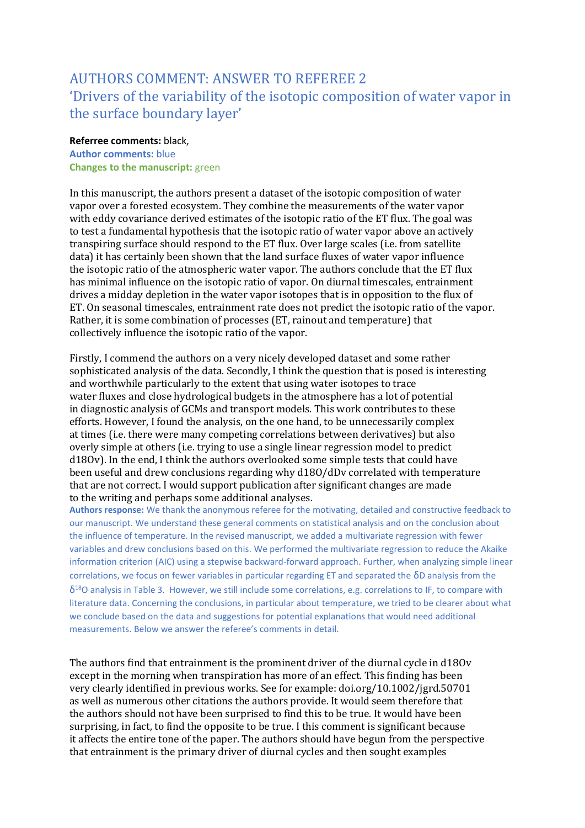# AUTHORS COMMENT: ANSWER TO REFEREE 2 'Drivers of the variability of the isotopic composition of water vapor in the surface boundary layer'

# **Referree comments:** black, **Author comments:** blue **Changes to the manuscript:** green

In this manuscript, the authors present a dataset of the isotopic composition of water vapor over a forested ecosystem. They combine the measurements of the water vapor with eddy covariance derived estimates of the isotopic ratio of the ET flux. The goal was to test a fundamental hypothesis that the isotopic ratio of water vapor above an actively transpiring surface should respond to the ET flux. Over large scales (i.e. from satellite data) it has certainly been shown that the land surface fluxes of water vapor influence the isotopic ratio of the atmospheric water vapor. The authors conclude that the ET flux has minimal influence on the isotopic ratio of vapor. On diurnal timescales, entrainment drives a midday depletion in the water vapor isotopes that is in opposition to the flux of ET. On seasonal timescales, entrainment rate does not predict the isotopic ratio of the vapor. Rather, it is some combination of processes (ET, rainout and temperature) that collectively influence the isotopic ratio of the vapor.

Firstly, I commend the authors on a very nicely developed dataset and some rather sophisticated analysis of the data. Secondly, I think the question that is posed is interesting and worthwhile particularly to the extent that using water isotopes to trace water fluxes and close hydrological budgets in the atmosphere has a lot of potential in diagnostic analysis of GCMs and transport models. This work contributes to these efforts. However, I found the analysis, on the one hand, to be unnecessarily complex at times (i.e. there were many competing correlations between derivatives) but also overly simple at others (i.e. trying to use a single linear regression model to predict d18Ov). In the end, I think the authors overlooked some simple tests that could have been useful and drew conclusions regarding why d18O/dDv correlated with temperature that are not correct. I would support publication after significant changes are made to the writing and perhaps some additional analyses.

**Authors response:** We thank the anonymous referee for the motivating, detailed and constructive feedback to our manuscript. We understand these general comments on statistical analysis and on the conclusion about the influence of temperature. In the revised manuscript, we added a multivariate regression with fewer variables and drew conclusions based on this. We performed the multivariate regression to reduce the Akaike information criterion (AIC) using a stepwise backward-forward approach. Further, when analyzing simple linear correlations, we focus on fewer variables in particular regarding ET and separated the δD analysis from the  $\delta^{18}$ O analysis in Table 3. However, we still include some correlations, e.g. correlations to IF, to compare with literature data. Concerning the conclusions, in particular about temperature, we tried to be clearer about what we conclude based on the data and suggestions for potential explanations that would need additional measurements. Below we answer the referee's comments in detail.

The authors find that entrainment is the prominent driver of the diurnal cycle in d18Ov except in the morning when transpiration has more of an effect. This finding has been very clearly identified in previous works. See for example: doi.org/10.1002/jgrd.50701 as well as numerous other citations the authors provide. It would seem therefore that the authors should not have been surprised to find this to be true. It would have been surprising, in fact, to find the opposite to be true. I this comment is significant because it affects the entire tone of the paper. The authors should have begun from the perspective that entrainment is the primary driver of diurnal cycles and then sought examples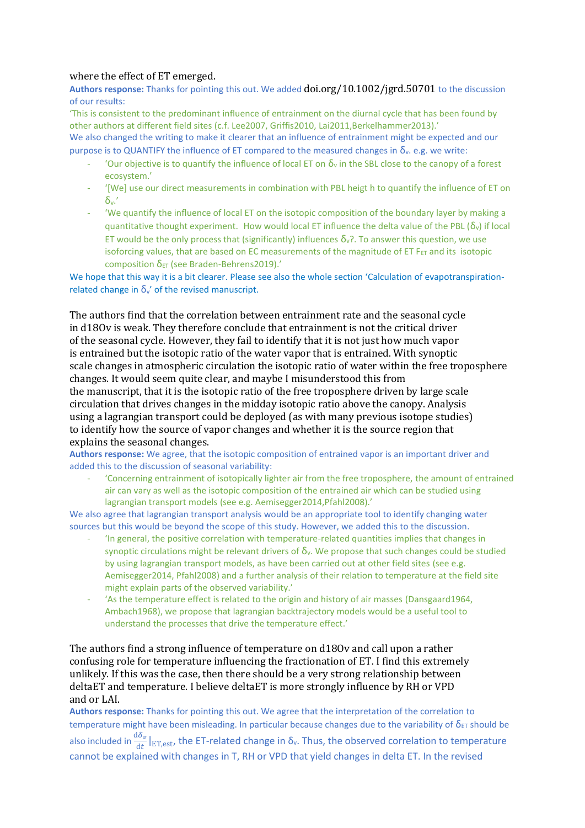# where the effect of ET emerged.

**Authors response:** Thanks for pointing this out. We added doi.org/10.1002/jgrd.50701 to the discussion of our results:

'This is consistent to the predominant influence of entrainment on the diurnal cycle that has been found by other authors at different field sites (c.f. Lee2007, Griffis2010, Lai2011, Berkelhammer2013).'

We also changed the writing to make it clearer that an influence of entrainment might be expected and our purpose is to QUANTIFY the influence of ET compared to the measured changes in  $\delta_y$ . e.g. we write:

- 'Our objective is to quantify the influence of local ET on  $\delta_y$  in the SBL close to the canopy of a forest ecosystem.'
- '[We] use our direct measurements in combination with PBL heigt h to quantify the influence of ET on δv.'
- 'We quantify the influence of local ET on the isotopic composition of the boundary layer by making a quantitative thought experiment. How would local ET influence the delta value of the PBL  $(\delta_{\rm v})$  if local ET would be the only process that (significantly) influences  $\delta_{v}$ ?. To answer this question, we use isoforcing values, that are based on EC measurements of the magnitude of ET  $F_{ET}$  and its isotopic composition  $δ$ <sub>ET</sub> (see Braden-Behrens2019).'

We hope that this way it is a bit clearer. Please see also the whole section 'Calculation of evapotranspirationrelated change in  $\delta_{v}$  of the revised manuscript.

The authors find that the correlation between entrainment rate and the seasonal cycle in d18Ov is weak. They therefore conclude that entrainment is not the critical driver of the seasonal cycle. However, they fail to identify that it is not just how much vapor is entrained but the isotopic ratio of the water vapor that is entrained. With synoptic scale changes in atmospheric circulation the isotopic ratio of water within the free troposphere changes. It would seem quite clear, and maybe I misunderstood this from the manuscript, that it is the isotopic ratio of the free troposphere driven by large scale circulation that drives changes in the midday isotopic ratio above the canopy. Analysis using a lagrangian transport could be deployed (as with many previous isotope studies)

to identify how the source of vapor changes and whether it is the source region that explains the seasonal changes.

**Authors response:** We agree, that the isotopic composition of entrained vapor is an important driver and added this to the discussion of seasonal variability:

- 'Concerning entrainment of isotopically lighter air from the free troposphere, the amount of entrained air can vary as well as the isotopic composition of the entrained air which can be studied using lagrangian transport models (see e.g. Aemisegger2014,Pfahl2008).'

We also agree that lagrangian transport analysis would be an appropriate tool to identify changing water sources but this would be beyond the scope of this study. However, we added this to the discussion.

- 'In general, the positive correlation with temperature-related quantities implies that changes in synoptic circulations might be relevant drivers of  $\delta_{v}$ . We propose that such changes could be studied by using lagrangian transport models, as have been carried out at other field sites (see e.g. Aemisegger2014, Pfahl2008) and a further analysis of their relation to temperature at the field site might explain parts of the observed variability.'
- 'As the temperature effect is related to the origin and history of air masses (Dansgaard1964, Ambach1968), we propose that lagrangian backtrajectory models would be a useful tool to understand the processes that drive the temperature effect.'

The authors find a strong influence of temperature on d18Ov and call upon a rather confusing role for temperature influencing the fractionation of ET. I find this extremely unlikely. If this was the case, then there should be a very strong relationship between deltaET and temperature. I believe deltaET is more strongly influence by RH or VPD and or LAI.

**Authors response:** Thanks for pointing this out. We agree that the interpretation of the correlation to temperature might have been misleading. In particular because changes due to the variability of  $\delta_{ET}$  should be also included in  $\frac{d\delta_v}{dt}\big|_{ET,est}$ , the ET-related change in  $\delta_v$ . Thus, the observed correlation to temperature cannot be explained with changes in T, RH or VPD that yield changes in delta ET. In the revised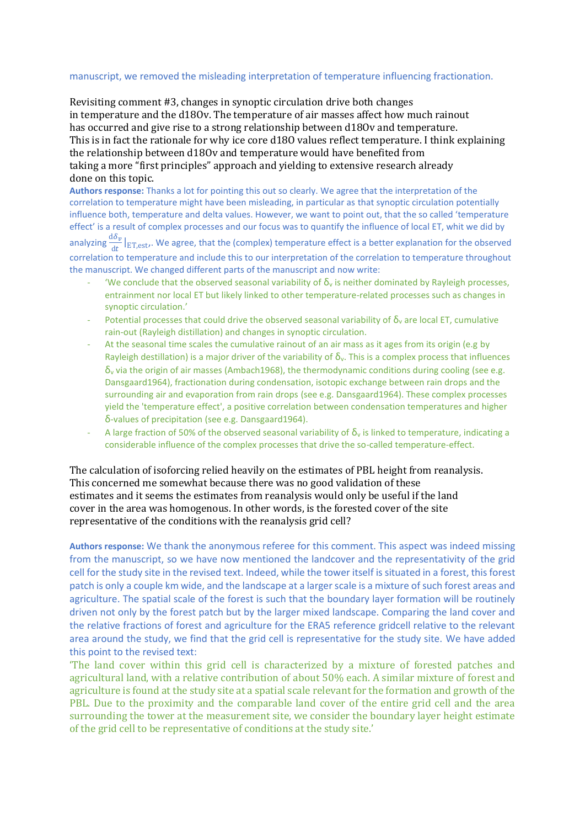#### manuscript, we removed the misleading interpretation of temperature influencing fractionation.

Revisiting comment #3, changes in synoptic circulation drive both changes in temperature and the d18Ov. The temperature of air masses affect how much rainout has occurred and give rise to a strong relationship between d18Ov and temperature. This is in fact the rationale for why ice core d18O values reflect temperature. I think explaining the relationship between d18Ov and temperature would have benefited from taking a more "first principles" approach and yielding to extensive research already done on this topic.

**Authors response:** Thanks a lot for pointing this out so clearly. We agree that the interpretation of the correlation to temperature might have been misleading, in particular as that synoptic circulation potentially influence both, temperature and delta values. However, we want to point out, that the so called 'temperature effect' is a result of complex processes and our focus was to quantify the influence of local ET, whit we did by

analyzing  $\frac{d\delta_v}{dt}|_{ET,est}$ . We agree, that the (complex) temperature effect is a better explanation for the observed correlation to temperature and include this to our interpretation of the correlation to temperature throughout the manuscript. We changed different parts of the manuscript and now write:

- 'We conclude that the observed seasonal variability of  $\delta_v$  is neither dominated by Rayleigh processes, entrainment nor local ET but likely linked to other temperature-related processes such as changes in synoptic circulation.'
- Potential processes that could drive the observed seasonal variability of  $\delta_{v}$  are local ET, cumulative rain-out (Rayleigh distillation) and changes in synoptic circulation.
- At the seasonal time scales the cumulative rainout of an air mass as it ages from its origin (e.g by Rayleigh destillation) is a major driver of the variability of  $\delta_{v}$ . This is a complex process that influences  $\delta_y$  via the origin of air masses (Ambach1968), the thermodynamic conditions during cooling (see e.g. Dansgaard1964), fractionation during condensation, isotopic exchange between rain drops and the surrounding air and evaporation from rain drops (see e.g. Dansgaard1964). These complex processes yield the 'temperature effect', a positive correlation between condensation temperatures and higher δ-values of precipitation (see e.g. Dansgaard1964).
- A large fraction of 50% of the observed seasonal variability of  $\delta_v$  is linked to temperature, indicating a considerable influence of the complex processes that drive the so-called temperature-effect.

The calculation of isoforcing relied heavily on the estimates of PBL height from reanalysis. This concerned me somewhat because there was no good validation of these estimates and it seems the estimates from reanalysis would only be useful if the land cover in the area was homogenous. In other words, is the forested cover of the site representative of the conditions with the reanalysis grid cell?

**Authors response:** We thank the anonymous referee for this comment. This aspect was indeed missing from the manuscript, so we have now mentioned the landcover and the representativity of the grid cell for the study site in the revised text. Indeed, while the tower itself is situated in a forest, this forest patch is only a couple km wide, and the landscape at a larger scale is a mixture of such forest areas and agriculture. The spatial scale of the forest is such that the boundary layer formation will be routinely driven not only by the forest patch but by the larger mixed landscape. Comparing the land cover and the relative fractions of forest and agriculture for the ERA5 reference gridcell relative to the relevant area around the study, we find that the grid cell is representative for the study site. We have added this point to the revised text:

'The land cover within this grid cell is characterized by a mixture of forested patches and agricultural land, with a relative contribution of about 50% each. A similar mixture of forest and agriculture is found at the study site at a spatial scale relevant for the formation and growth of the PBL. Due to the proximity and the comparable land cover of the entire grid cell and the area surrounding the tower at the measurement site, we consider the boundary layer height estimate of the grid cell to be representative of conditions at the study site.'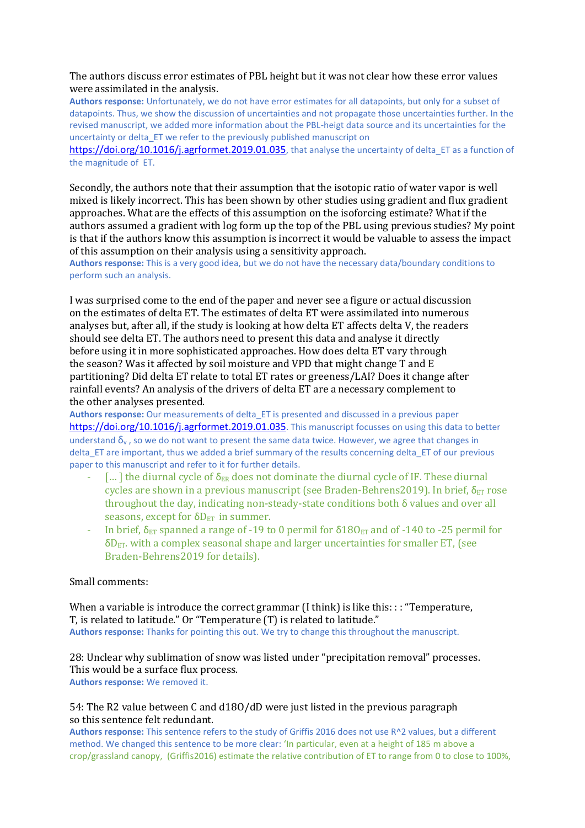# The authors discuss error estimates of PBL height but it was not clear how these error values were assimilated in the analysis.

**Authors response:** Unfortunately, we do not have error estimates for all datapoints, but only for a subset of datapoints. Thus, we show the discussion of uncertainties and not propagate those uncertainties further. In the revised manuscript, we added more information about the PBL-heigt data source and its uncertainties for the uncertainty or delta\_ET we refer to the previously published manuscript on

<https://doi.org/10.1016/j.agrformet.2019.01.035>, that analyse the uncertainty of delta ET as a function of the magnitude of ET.

Secondly, the authors note that their assumption that the isotopic ratio of water vapor is well mixed is likely incorrect. This has been shown by other studies using gradient and flux gradient approaches. What are the effects of this assumption on the isoforcing estimate? What if the authors assumed a gradient with log form up the top of the PBL using previous studies? My point is that if the authors know this assumption is incorrect it would be valuable to assess the impact of this assumption on their analysis using a sensitivity approach.

**Authors response:** This is a very good idea, but we do not have the necessary data/boundary conditions to perform such an analysis.

I was surprised come to the end of the paper and never see a figure or actual discussion on the estimates of delta ET. The estimates of delta ET were assimilated into numerous analyses but, after all, if the study is looking at how delta ET affects delta V, the readers should see delta ET. The authors need to present this data and analyse it directly before using it in more sophisticated approaches. How does delta ET vary through the season? Was it affected by soil moisture and VPD that might change T and E partitioning? Did delta ET relate to total ET rates or greeness/LAI? Does it change after rainfall events? An analysis of the drivers of delta ET are a necessary complement to the other analyses presented.

**Authors response:** Our measurements of delta\_ET is presented and discussed in a previous paper <https://doi.org/10.1016/j.agrformet.2019.01.035>. This manuscript focusses on using this data to better understand  $\delta_y$ , so we do not want to present the same data twice. However, we agree that changes in delta\_ET are important, thus we added a brief summary of the results concerning delta\_ET of our previous paper to this manuscript and refer to it for further details.

- $\lceil \dots \rceil$  the diurnal cycle of  $\delta_{ER}$  does not dominate the diurnal cycle of IF. These diurnal cycles are shown in a previous manuscript (see Braden-Behrens2019). In brief,  $\delta_{ET}$  rose throughout the day, indicating non-steady-state conditions both δ values and over all seasons, except for  $\delta D_{ET}$  in summer.
- In brief,  $\delta_{ET}$  spanned a range of -19 to 0 permil for  $\delta180_{ET}$  and of -140 to -25 permil for  $\delta D_{ET}$ , with a complex seasonal shape and larger uncertainties for smaller ET, (see Braden-Behrens2019 for details).

## Small comments:

When a variable is introduce the correct grammar (I think) is like this: : : "Temperature, T, is related to latitude." Or "Temperature (T) is related to latitude." **Authors response:** Thanks for pointing this out. We try to change this throughout the manuscript.

28: Unclear why sublimation of snow was listed under "precipitation removal" processes. This would be a surface flux process. **Authors response:** We removed it.

## 54: The R2 value between C and d18O/dD were just listed in the previous paragraph so this sentence felt redundant.

**Authors response:** This sentence refers to the study of Griffis 2016 does not use R^2 values, but a different method. We changed this sentence to be more clear: 'In particular, even at a height of 185 m above a crop/grassland canopy, (Griffis2016) estimate the relative contribution of ET to range from 0 to close to 100%,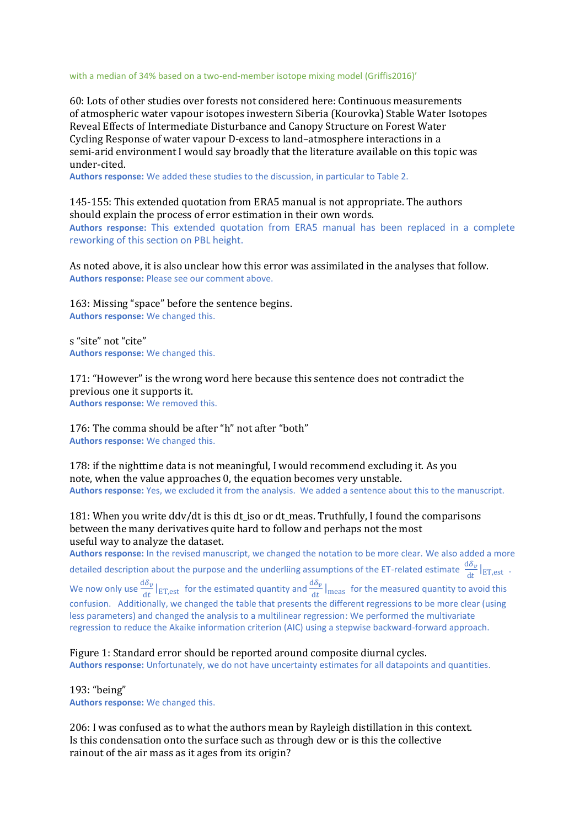with a median of 34% based on a two-end-member isotope mixing model (Griffis2016)'

60: Lots of other studies over forests not considered here: Continuous measurements of atmospheric water vapour isotopes inwestern Siberia (Kourovka) Stable Water Isotopes Reveal Effects of Intermediate Disturbance and Canopy Structure on Forest Water Cycling Response of water vapour D-excess to land–atmosphere interactions in a semi-arid environment I would say broadly that the literature available on this topic was under-cited.

**Authors response:** We added these studies to the discussion, in particular to Table 2.

145-155: This extended quotation from ERA5 manual is not appropriate. The authors should explain the process of error estimation in their own words. **Authors response:** This extended quotation from ERA5 manual has been replaced in a complete reworking of this section on PBL height.

As noted above, it is also unclear how this error was assimilated in the analyses that follow. **Authors response:** Please see our comment above.

163: Missing "space" before the sentence begins. **Authors response:** We changed this.

s "site" not "cite" **Authors response:** We changed this.

171: "However" is the wrong word here because this sentence does not contradict the previous one it supports it. **Authors response:** We removed this.

176: The comma should be after "h" not after "both" **Authors response:** We changed this.

178: if the nighttime data is not meaningful, I would recommend excluding it. As you note, when the value approaches 0, the equation becomes very unstable. **Authors response:** Yes, we excluded it from the analysis. We added a sentence about this to the manuscript.

181: When you write ddv/dt is this dt\_iso or dt\_meas. Truthfully, I found the comparisons between the many derivatives quite hard to follow and perhaps not the most useful way to analyze the dataset.

**Authors response:** In the revised manuscript, we changed the notation to be more clear. We also added a more detailed description about the purpose and the underliing assumptions of the ET-related estimate  $\frac{d\delta_v}{dt}\big|_{ET,est}$ . We now only use  $\frac{d\delta_v}{dt}|_{ET,est}$  for the estimated quantity and  $\frac{d\delta_v}{dt}|_{\text{meas}}$  for the measured quantity to avoid this confusion. Additionally, we changed the table that presents the different regressions to be more clear (using less parameters) and changed the analysis to a multilinear regression: We performed the multivariate regression to reduce the Akaike information criterion (AIC) using a stepwise backward-forward approach.

Figure 1: Standard error should be reported around composite diurnal cycles. **Authors response:** Unfortunately, we do not have uncertainty estimates for all datapoints and quantities.

193: "being" **Authors response:** We changed this.

206: I was confused as to what the authors mean by Rayleigh distillation in this context. Is this condensation onto the surface such as through dew or is this the collective rainout of the air mass as it ages from its origin?